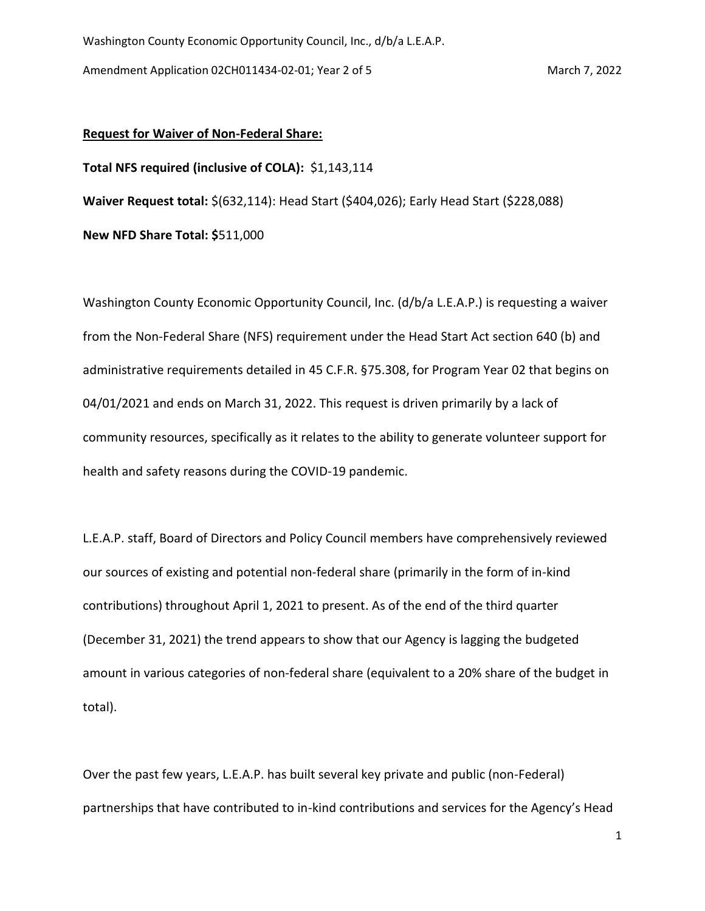## **Request for Waiver of Non-Federal Share:**

**Total NFS required (inclusive of COLA):** \$1,143,114

**Waiver Request total:** \$(632,114): Head Start (\$404,026); Early Head Start (\$228,088)

**New NFD Share Total: \$**511,000

Washington County Economic Opportunity Council, Inc. (d/b/a L.E.A.P.) is requesting a waiver from the Non-Federal Share (NFS) requirement under the Head Start Act section 640 (b) and administrative requirements detailed in 45 C.F.R. §75.308, for Program Year 02 that begins on 04/01/2021 and ends on March 31, 2022. This request is driven primarily by a lack of community resources, specifically as it relates to the ability to generate volunteer support for health and safety reasons during the COVID-19 pandemic.

L.E.A.P. staff, Board of Directors and Policy Council members have comprehensively reviewed our sources of existing and potential non-federal share (primarily in the form of in-kind contributions) throughout April 1, 2021 to present. As of the end of the third quarter (December 31, 2021) the trend appears to show that our Agency is lagging the budgeted amount in various categories of non-federal share (equivalent to a 20% share of the budget in total).

Over the past few years, L.E.A.P. has built several key private and public (non-Federal) partnerships that have contributed to in-kind contributions and services for the Agency's Head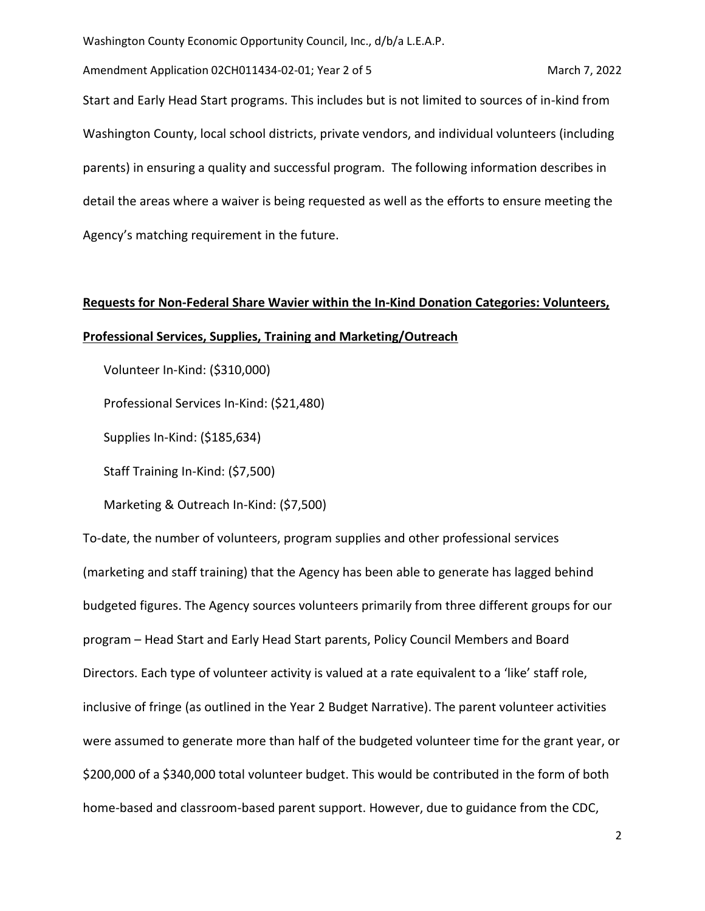Washington County Economic Opportunity Council, Inc., d/b/a L.E.A.P.

Amendment Application 02CH011434-02-01; Year 2 of 5 March 7, 2022 Start and Early Head Start programs. This includes but is not limited to sources of in-kind from Washington County, local school districts, private vendors, and individual volunteers (including parents) in ensuring a quality and successful program. The following information describes in detail the areas where a waiver is being requested as well as the efforts to ensure meeting the Agency's matching requirement in the future.

## **Requests for Non-Federal Share Wavier within the In-Kind Donation Categories: Volunteers, Professional Services, Supplies, Training and Marketing/Outreach**

Volunteer In-Kind: (\$310,000)

Professional Services In-Kind: (\$21,480)

Supplies In-Kind: (\$185,634)

Staff Training In-Kind: (\$7,500)

Marketing & Outreach In-Kind: (\$7,500)

To-date, the number of volunteers, program supplies and other professional services (marketing and staff training) that the Agency has been able to generate has lagged behind budgeted figures. The Agency sources volunteers primarily from three different groups for our program – Head Start and Early Head Start parents, Policy Council Members and Board Directors. Each type of volunteer activity is valued at a rate equivalent to a 'like' staff role, inclusive of fringe (as outlined in the Year 2 Budget Narrative). The parent volunteer activities were assumed to generate more than half of the budgeted volunteer time for the grant year, or \$200,000 of a \$340,000 total volunteer budget. This would be contributed in the form of both home-based and classroom-based parent support. However, due to guidance from the CDC,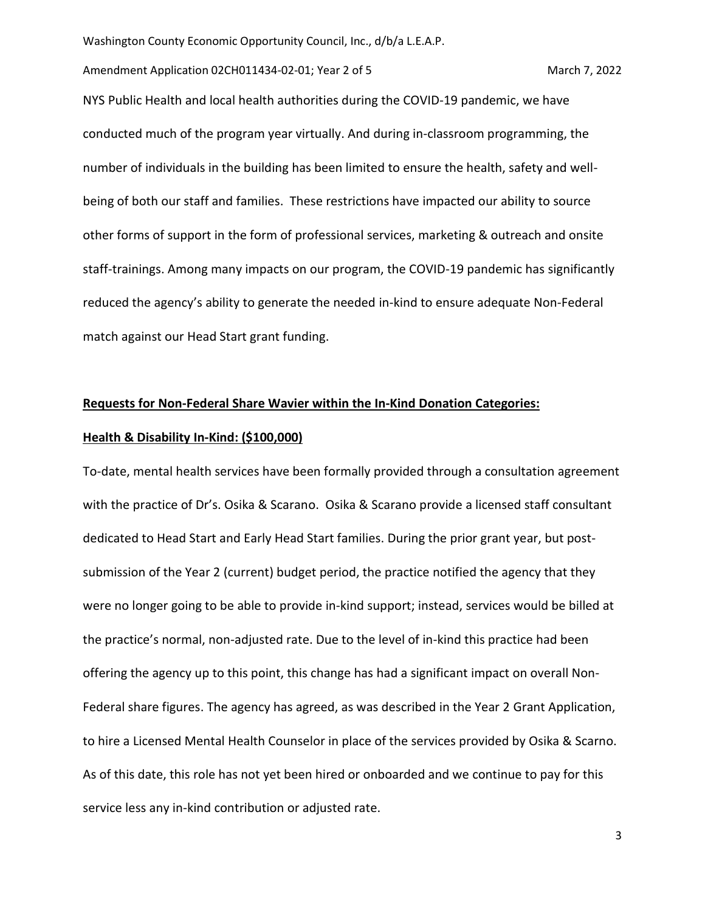Washington County Economic Opportunity Council, Inc., d/b/a L.E.A.P.

Amendment Application 02CH011434-02-01; Year 2 of 5 March 7, 2022

NYS Public Health and local health authorities during the COVID-19 pandemic, we have conducted much of the program year virtually. And during in-classroom programming, the number of individuals in the building has been limited to ensure the health, safety and wellbeing of both our staff and families. These restrictions have impacted our ability to source other forms of support in the form of professional services, marketing & outreach and onsite staff-trainings. Among many impacts on our program, the COVID-19 pandemic has significantly reduced the agency's ability to generate the needed in-kind to ensure adequate Non-Federal match against our Head Start grant funding.

## **Requests for Non-Federal Share Wavier within the In-Kind Donation Categories:**

## **Health & Disability In-Kind: (\$100,000)**

To-date, mental health services have been formally provided through a consultation agreement with the practice of Dr's. Osika & Scarano. Osika & Scarano provide a licensed staff consultant dedicated to Head Start and Early Head Start families. During the prior grant year, but postsubmission of the Year 2 (current) budget period, the practice notified the agency that they were no longer going to be able to provide in-kind support; instead, services would be billed at the practice's normal, non-adjusted rate. Due to the level of in-kind this practice had been offering the agency up to this point, this change has had a significant impact on overall Non-Federal share figures. The agency has agreed, as was described in the Year 2 Grant Application, to hire a Licensed Mental Health Counselor in place of the services provided by Osika & Scarno. As of this date, this role has not yet been hired or onboarded and we continue to pay for this service less any in-kind contribution or adjusted rate.